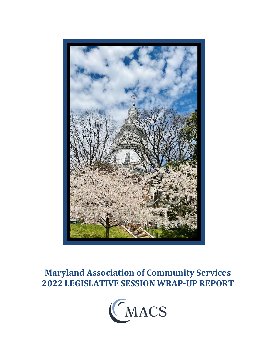

# **Maryland Association of Community Services 2022 LEGISLATIVE SESSION WRAP-UP REPORT**

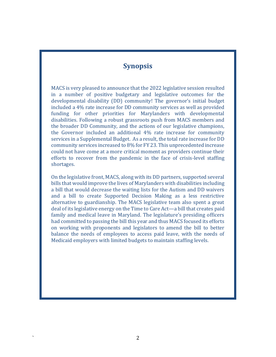### **Synopsis**

MACS is very pleased to announce that the 2022 legislative session resulted in a number of positive budgetary and legislative outcomes for the developmental disability (DD) community! The governor's initial budget included a 4% rate increase for DD community services as well as provided funding for other priorities for Marylanders with developmental disabilities. Following a robust grassroots push from MACS members and the broader DD Community, and the actions of our legislative champions, the Governor included an additional 4% rate increase for community services in a Supplemental Budget. As a result, the total rate increase for DD community services increased to 8% for FY 23. This unprecedented increase could not have come at a more critical moment as providers continue their efforts to recover from the pandemic in the face of crisis-level staffing shortages.

On the legislative front, MACS, along with its DD partners, supported several bills that would improve the lives of Marylanders with disabilities including a bill that would decrease the waiting lists for the Autism and DD waivers and a bill to create Supported Decision Making as a less restrictive alternative to guardianship. The MACS legislative team also spent a great deal of its legislative energy on the Time to Care Act—a bill that creates paid family and medical leave in Maryland. The legislature's presiding officers had committed to passing the bill this year and thus MACS focused its efforts on working with proponents and legislators to amend the bill to better balance the needs of employees to access paid leave, with the needs of Medicaid employers with limited budgets to maintain staffing levels.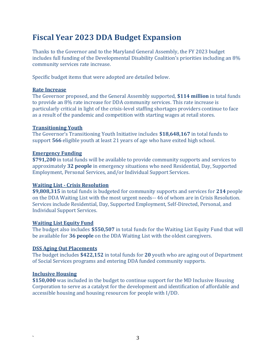## **Fiscal Year 2023 DDA Budget Expansion**

Thanks to the Governor and to the Maryland General Assembly, the FY 2023 budget includes full funding of the Developmental Disability Coalition's priorities including an 8% community services rate increase.

Specific budget items that were adopted are detailed below.

### **Rate Increase**

The Governor proposed, and the General Assembly supported, **\$114 million** in total funds to provide an 8% rate increase for DDA community services. This rate increase is particularly critical in light of the crisis-level staffing shortages providers continue to face as a result of the pandemic and competition with starting wages at retail stores.

### **Transitioning Youth**

The Governor's Transitioning Youth Initiative includes **\$18,648,167** in total funds to support **566** eligible youth at least 21 years of age who have exited high school.

### **Emergency Funding**

**\$791,200** in total funds will be available to provide community supports and services to approximately **32 people** in emergency situations who need Residential, Day, Supported Employment, Personal Services, and/or Individual Support Services.

### **Waiting List - Crisis Resolution**

**\$9,808,315** in total funds is budgeted for community supports and services for **214** people on the DDA Waiting List with the most urgent needs-- 46 of whom are in Crisis Resolution. Services include Residential, Day, Supported Employment, Self-Directed, Personal, and Individual Support Services.

### **Waiting List Equity Fund**

The budget also includes **\$550,507** in total funds for the Waiting List Equity Fund that will be available for **36 people** on the DDA Waiting List with the oldest caregivers.

### **DSS Aging Out Placements**

The budget includes **\$422,152** in total funds for **20** youth who are aging out of Department of Social Services programs and entering DDA funded community supports.

### **Inclusive Housing**

**\$150,000** was included in the budget to continue support for the MD Inclusive Housing Corporation to serve as a catalyst for the development and identification of affordable and accessible housing and housing resources for people with I/DD.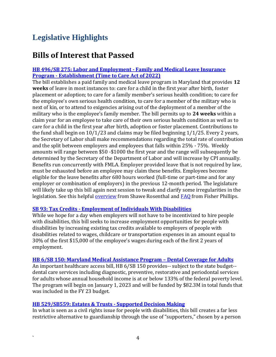## **Legislative Highlights**

### **Bills of Interest that Passed**

### **[HB 496/SB 275: Labor and Employment -](https://mgaleg.maryland.gov/2022RS/bills/sb/sb0275E.pdf) Family and Medical Leave Insurance Program - [Establishment \(Time to Care Act of 2022\)](https://mgaleg.maryland.gov/2022RS/bills/sb/sb0275E.pdf)**

The bill establishes a paid family and medical leave program in Maryland that provides **12 weeks** of leave in most instances to: care for a child in the first year after birth, foster placement or adoption; to care for a family member's serious health condition; to care for the employee's own serious health condition, to care for a member of the military who is next of kin, or to attend to exigencies arising out of the deployment of a member of the military who is the employee's family member. The bill permits up to **24 weeks** within a claim year for an employee to take care of their own serious health condition as well as to care for a child in the first year after birth, adoption or foster placement. Contributions to the fund shall begin on 10/1/23 and claims may be filed beginning 1/1/25. Every 2 years, the Secretary of Labor shall make recommendations regarding the total rate of contribution and the split between employers and employees that falls within 25% - 75%. Weekly amounts will range between \$50 -\$1000 the first year and the range will subsequently be determined by the Secretary of the Department of Labor and will increase by CPI annually. Benefits run concurrently with FMLA. Employer provided leave that is not required by law, must be exhausted before an employee may claim these benefits. Employees become eligible for the leave benefits after 680 hours worked (full-time or part-time and for any employer or combination of employers) in the previous 12-month period. The legislature will likely take up this bill again next session to tweak and clarify some irregularities in the legislation. See this helpful [overview](https://shawe.com/elerts/new-employment-laws-in-maryland-paid-family-and-medical-leave-expanded-definition-of-harassment-disability-accommodations-and-more-and-a-webinar/) from Shawe Rosenthal and [FAQ](https://www.fisherphillips.com/news-insights/employer-faqs-maryland-becomes-10th-state-paid-family-leave.html) from Fisher Phillips.

### **SB 93: Tax Credits - [Employment of Individuals With Disabilities](https://mgaleg.maryland.gov/2022RS/bills/sb/sb0093F.pdf)**

While we hope for a day when employers will not have to be incentivized to hire people with disabilities, this bill seeks to increase employment opportunities for people with disabilities by increasing existing tax credits available to employers of people with disabilities related to wages, childcare or transportation expenses in an amount equal to 30% of the first \$15,000 of the employee's wages during each of the first 2 years of employment.

### **[HB 6/SB 150: Maryland Medical Assistance Program](https://mgaleg.maryland.gov/2022RS/bills/hb/hb0006F.pdf) – Dental Coverage for Adults**

An important healthcare access bill, HB 6/SB 150 provides-- subject to the state budget- dental care services including diagnostic, preventive, restorative and periodontal services for adults whose annual household income is at or below 133% of the federal poverty level. The program will begin on January 1, 2023 and will be funded by \$82.3M in total funds that was included in the FY 23 budget.

### **[HB 529/SB559: Estates & Trusts -](https://mgaleg.maryland.gov/mgawebsite/Legislation/Details/HB0529?ys=2022RS) Supported Decision Making**

In what is seen as a civil rights issue for people with disabilities, this bill creates a far less restrictive alternative to guardianship through the use of "supporters," chosen by a person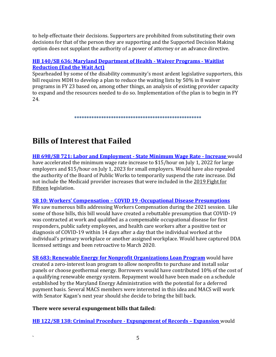to help effectuate their decisions. Supporters are prohibited from substituting their own decisions for that of the person they are supporting and the Supported Decision Making option does not supplant the authority of a power of attorney or an advance directive.

### **[HB 140/SB 636: Maryland Department of Health -](https://mgaleg.maryland.gov/mgawebsite/Legislation/Details/hb1403?ys=2022RS) Waiver Programs - Waitlist [Reduction \(End the Wait Act\)](https://mgaleg.maryland.gov/mgawebsite/Legislation/Details/hb1403?ys=2022RS)**

Spearheaded by some of the disability community's most ardent legislative supporters, this bill requires MDH to develop a plan to reduce the waiting lists by 50% in 8 waiver programs in FY 23 based on, among other things, an analysis of existing provider capacity to expand and the resources needed to do so. Implementation of the plan is to begin in FY 24.

**\*\*\*\*\*\*\*\*\*\*\*\*\*\*\*\*\*\*\*\*\*\*\*\*\*\*\*\*\*\*\*\*\*\*\*\*\*\*\*\*\*\*\*\*\*\*\*\*\*\*\*\***

# **Bills of Interest that Failed**

**[HB 698/SB 721: Labor and Employment -](/Users/laurenkallins/Dropbox/2022%20Session/Bill%20charts%20&%20updates/Labor%20and%20Employment%20-%20State%20Minimum%20Wage%20Rate%20-%20Increase) State Minimum Wage Rate - Increase** would have accelerated the minimum wage rate increase to \$15/hour on July 1, 2022 for large employers and \$15/hour on July 1, 2023 for small employers. Would have also repealed the authority of the Board of Public Works to temporarily suspend the rate increase. Did not include the Medicaid provider increases that were included in th[e 2019 Fight for](https://mgaleg.maryland.gov/2019RS/chapters_noln/Ch_11_sb0280E.pdf)  [Fifteen](https://mgaleg.maryland.gov/2019RS/chapters_noln/Ch_11_sb0280E.pdf) legislation.

### **SB 10: Workers' Compensation – [COVID 19 -Occupational Disease Presumptions](https://mgaleg.maryland.gov/2022RS/bills/sb/sb0010F.pdf)**

We saw numerous bills addressing Workers Compensation during the 2021 session. Like some of those bills, this bill would have created a rebuttable presumption that COVID-19 was contracted at work and qualified as a compensable occupational disease for first responders, public safety employees, and health care workers after a positive test or diagnosis of COVID-19 within 14 days after a day that the individual worked at the individual's primary workplace or another assigned workplace. Would have captured DDA licensed settings and been retroactive to March 2020.

**[SB 683: Renewable Energy for Nonprofit Organizations Loan Program](https://mgaleg.maryland.gov/mgawebsite/Legislation/Details/sb0683)** would have created a zero-interest loan program to allow nonprofits to purchase and install solar panels or choose geothermal energy. Borrowers would have contributed 10% of the cost of a qualifying renewable energy system. Repayment would have been made on a schedule established by the Maryland Energy Administration with the potential for a deferred payment basis. Several MACS members were interested in this idea and MACS will work with Senator Kagan's next year should she decide to bring the bill back.

### **There were several expungement bills that failed:**

**[HB 122/SB 138: Criminal Procedure -](https://mgaleg.maryland.gov/mgawebsite/Legislation/Details/hb0122) Expungement of Records – Expansion** would